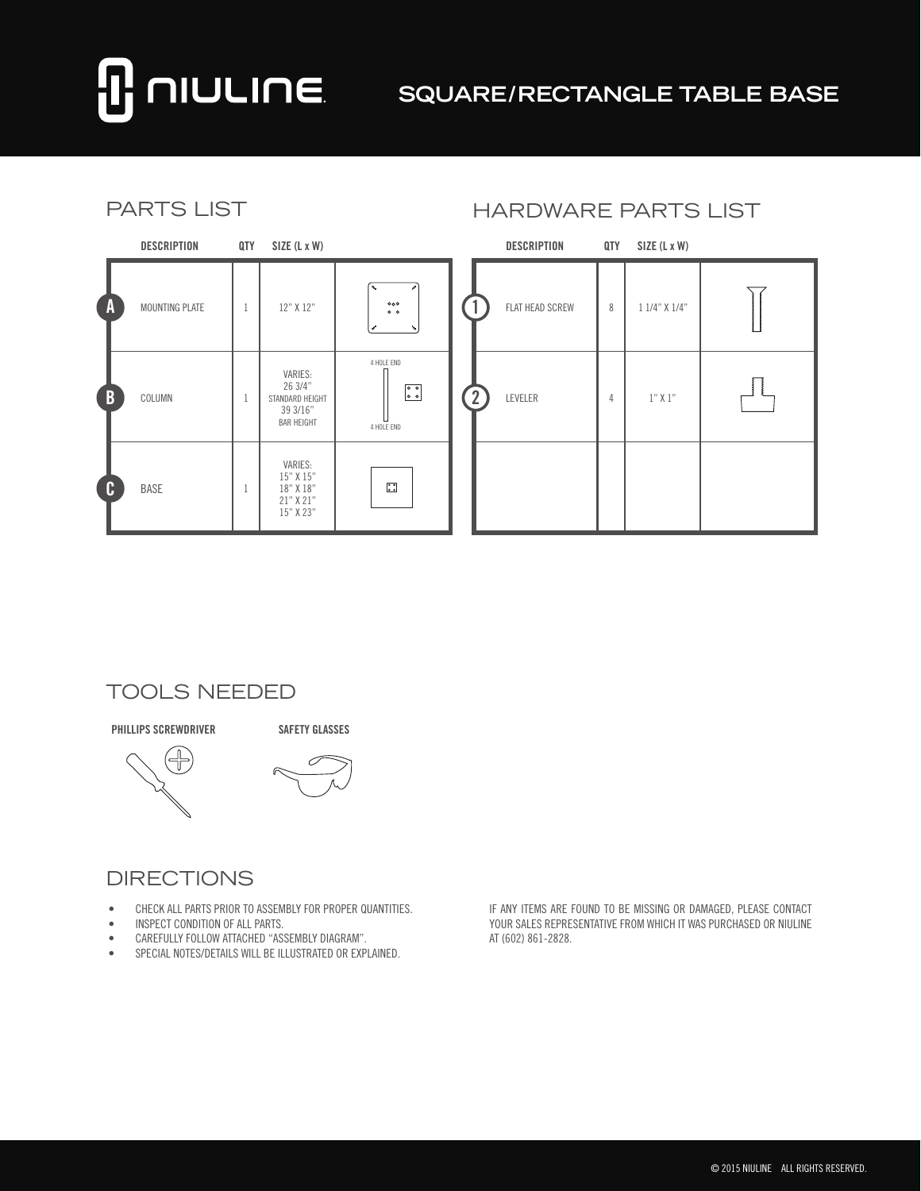# **NULINE**

## **SQUARE/RECTANGLE TABLE BASE**

| <b>PARTS LIST</b> |                    |     |                                                                        |                                                                          | <b>HARDWARE PARTS LIST</b> |  |                    |     |                |  |
|-------------------|--------------------|-----|------------------------------------------------------------------------|--------------------------------------------------------------------------|----------------------------|--|--------------------|-----|----------------|--|
|                   | <b>DESCRIPTION</b> | QTY | SIZE (L x W)                                                           |                                                                          |                            |  | <b>DESCRIPTION</b> | QTY | $SIZE$ (L x W) |  |
| $\Lambda$         | MOUNTING PLATE     |     | 12" X 12"                                                              | 0 <sub>0</sub><br>0 <sub>0</sub>                                         |                            |  | FLAT HEAD SCREW    | 8   | 1 1/4" X 1/4"  |  |
| $\overline{B}$    | COLUMN             | 1   | VARIES:<br>26 3/4"<br>STANDARD HEIGHT<br>39 3/16"<br><b>BAR HEIGHT</b> | 4 HOLE END<br>$\begin{matrix} 0 & 0 \\ 0 & 0 \end{matrix}$<br>4 HOLE END |                            |  | LEVELER            | 4   | $1"$ X $1"$    |  |
| C C               | <b>BASE</b>        |     | VARIES:<br>15" X 15"<br>18" X 18"<br>21" X 21"<br>15" X 23"            | $\ddot{\cdot}$                                                           |                            |  |                    |     |                |  |

#### TOOLS NEEDED

**PHILLIPS SCREWDRIVER SAFETY GLASSES**



#### **DIRECTIONS**

- • CHECK ALL PARTS PRIOR TO ASSEMBLY FOR PROPER QUANTITIES.
- • INSPECT CONDITION OF ALL PARTS.
- • CAREFULLY FOLLOW ATTACHED "ASSEMBLY DIAGRAM".
- • SPECIAL NOTES/DETAILS WILL BE ILLUSTRATED OR EXPLAINED.

IF ANY ITEMS ARE FOUND TO BE MISSING OR DAMAGED, PLEASE CONTACT YOUR SALES REPRESENTATIVE FROM WHICH IT WAS PURCHASED OR NIULINE AT (602) 861-2828.